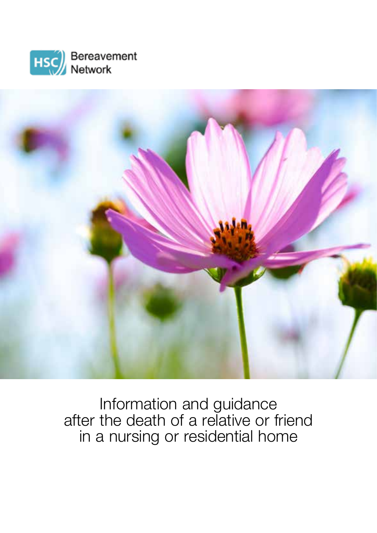



Information and guidance after the death of a relative or friend in a nursing or residential home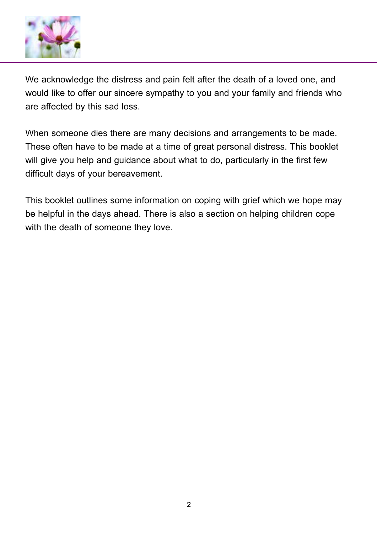

We acknowledge the distress and pain felt after the death of a loved one, and would like to offer our sincere sympathy to you and your family and friends who are affected by this sad loss.

When someone dies there are many decisions and arrangements to be made. These often have to be made at a time of great personal distress. This booklet will give you help and guidance about what to do, particularly in the first few difficult days of your bereavement.

This booklet outlines some information on coping with grief which we hope may be helpful in the days ahead. There is also a section on helping children cope with the death of someone they love.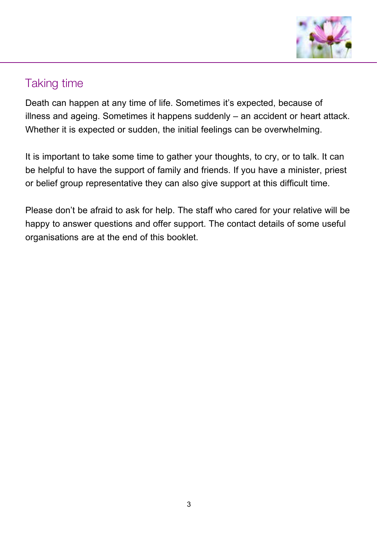

### Taking time

Death can happen at any time of life. Sometimes it's expected, because of illness and ageing. Sometimes it happens suddenly – an accident or heart attack. Whether it is expected or sudden, the initial feelings can be overwhelming.

It is important to take some time to gather your thoughts, to cry, or to talk. It can be helpful to have the support of family and friends. If you have a minister, priest or belief group representative they can also give support at this difficult time.

Please don't be afraid to ask for help. The staff who cared for your relative will be happy to answer questions and offer support. The contact details of some useful organisations are at the end of this booklet.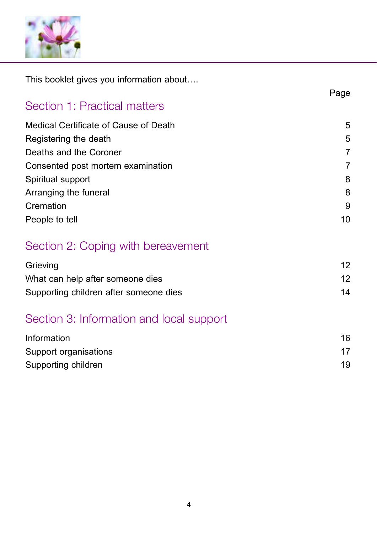

This booklet gives you information about….

|                                          | Page            |
|------------------------------------------|-----------------|
| Section 1: Practical matters             |                 |
| Medical Certificate of Cause of Death    | 5               |
| Registering the death                    | 5               |
| Deaths and the Coroner                   | 7               |
| Consented post mortem examination        | 7               |
| Spiritual support                        | 8               |
| Arranging the funeral                    | 8               |
| Cremation                                | 9               |
| People to tell                           | 10              |
| Section 2: Coping with bereavement       |                 |
| Grieving                                 | 12 <sup>2</sup> |
| What can help after someone dies         | 12 <sup>2</sup> |
| Supporting children after someone dies   | 14              |
| Section 3: Information and local support |                 |
| Information                              | 16              |
| Support organisations                    | 17              |
| Supporting children                      | 19              |
|                                          |                 |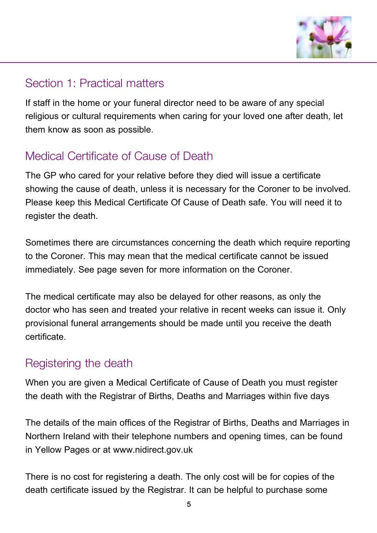

### Section 1: Practical matters

If staff in the home or your funeral director need to be aware of any special religious or cultural requirements when caring for your loved one after death, let them know as soon as possible.

### Medical Certificate of Cause of Death

The GP who cared for your relative before they died will issue a certificate showing the cause of death, unless it is necessary for the Coroner to be involved. Please keep this Medical Certificate Of Cause of Death safe. You will need it to register the death.

Sometimes there are circumstances concerning the death which require reporting to the Coroner. This may mean that the medical certificate cannot be issued immediately. See page seven for more information on the Coroner.

The medical certificate may also be delayed for other reasons, as only the doctor who has seen and treated your relative in recent weeks can issue it. Only provisional funeral arrangements should be made until you receive the death certificate.

#### Registering the death

When you are given a Medical Certificate of Cause of Death you must register the death with the Registrar of Births, Deaths and Marriages within five days

The details of the main offices of the Registrar of Births, Deaths and Marriages in Northern Ireland with their telephone numbers and opening times, can be found in Yellow Pages or at www.nidirect.gov.uk

There is no cost for registering a death. The only cost will be for copies of the death certificate issued by the Registrar. It can be helpful to purchase some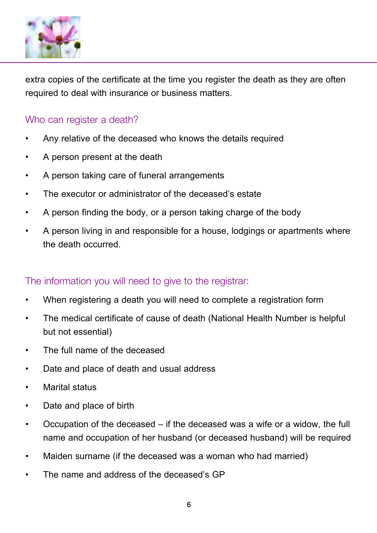

extra copies of the certificate at the time you register the death as they are often required to deal with insurance or business matters.

#### Who can register a death?

- Any relative of the deceased who knows the details required
- A person present at the death
- A person taking care of funeral arrangements
- The executor or administrator of the deceased's estate
- A person finding the body, or a person taking charge of the body
- A person living in and responsible for a house, lodgings or apartments where the death occurred.

#### The information you will need to give to the registrar:

- When registering a death you will need to complete a registration form
- The medical certificate of cause of death (National Health Number is helpful but not essential)
- The full name of the deceased
- Date and place of death and usual address
- Marital status
- Date and place of birth
- Occupation of the deceased if the deceased was a wife or a widow, the full name and occupation of her husband (or deceased husband) will be required
- Maiden surname (if the deceased was a woman who had married)
- The name and address of the deceased's GP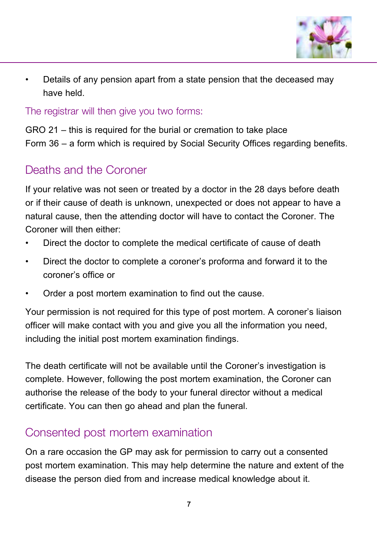

• Details of any pension apart from a state pension that the deceased may have held.

The registrar will then give you two forms:

GRO 21 – this is required for the burial or cremation to take place Form 36 – a form which is required by Social Security Offices regarding benefits.

### Deaths and the Coroner

If your relative was not seen or treated by a doctor in the 28 days before death or if their cause of death is unknown, unexpected or does not appear to have a natural cause, then the attending doctor will have to contact the Coroner. The Coroner will then either:

- Direct the doctor to complete the medical certificate of cause of death
- Direct the doctor to complete a coroner's proforma and forward it to the coroner's office or
- Order a post mortem examination to find out the cause.

Your permission is not required for this type of post mortem. A coroner's liaison officer will make contact with you and give you all the information you need, including the initial post mortem examination findings.

The death certificate will not be available until the Coroner's investigation is complete. However, following the post mortem examination, the Coroner can authorise the release of the body to your funeral director without a medical certificate. You can then go ahead and plan the funeral.

#### Consented post mortem examination

On a rare occasion the GP may ask for permission to carry out a consented post mortem examination. This may help determine the nature and extent of the disease the person died from and increase medical knowledge about it.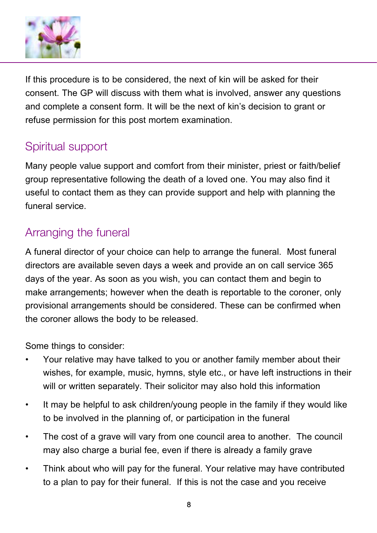

If this procedure is to be considered, the next of kin will be asked for their consent. The GP will discuss with them what is involved, answer any questions and complete a consent form. It will be the next of kin's decision to grant or refuse permission for this post mortem examination.

## Spiritual support

Many people value support and comfort from their minister, priest or faith/belief group representative following the death of a loved one. You may also find it useful to contact them as they can provide support and help with planning the funeral service.

### Arranging the funeral

A funeral director of your choice can help to arrange the funeral. Most funeral directors are available seven days a week and provide an on call service 365 days of the year. As soon as you wish, you can contact them and begin to make arrangements; however when the death is reportable to the coroner, only provisional arrangements should be considered. These can be confirmed when the coroner allows the body to be released.

Some things to consider:

- Your relative may have talked to you or another family member about their wishes, for example, music, hymns, style etc., or have left instructions in their will or written separately. Their solicitor may also hold this information
- It may be helpful to ask children/young people in the family if they would like to be involved in the planning of, or participation in the funeral
- The cost of a grave will vary from one council area to another. The council may also charge a burial fee, even if there is already a family grave
- Think about who will pay for the funeral. Your relative may have contributed to a plan to pay for their funeral. If this is not the case and you receive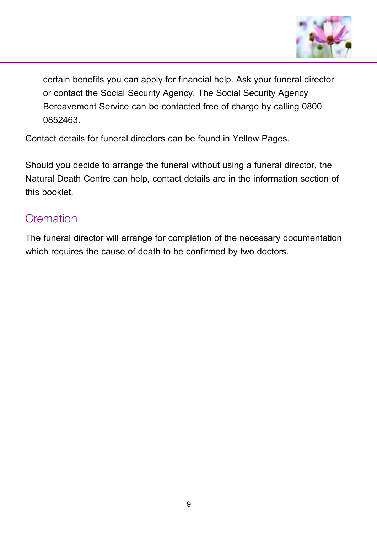

certain benefits you can apply for financial help. Ask your funeral director or contact the Social Security Agency. The Social Security Agency Bereavement Service can be contacted free of charge by calling 0800 0852463.

Contact details for funeral directors can be found in Yellow Pages.

Should you decide to arrange the funeral without using a funeral director, the Natural Death Centre can help, contact details are in the information section of this booklet.

### **Cremation**

The funeral director will arrange for completion of the necessary documentation which requires the cause of death to be confirmed by two doctors.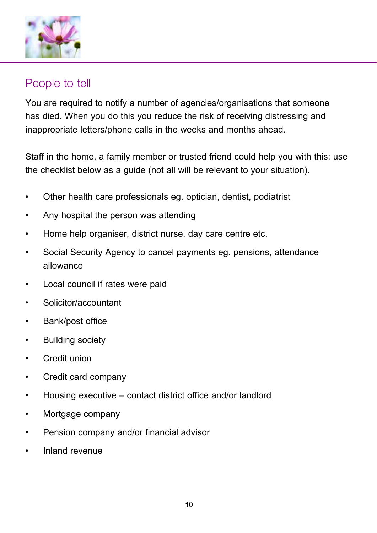

#### People to tell

You are required to notify a number of agencies/organisations that someone has died. When you do this you reduce the risk of receiving distressing and inappropriate letters/phone calls in the weeks and months ahead.

Staff in the home, a family member or trusted friend could help you with this; use the checklist below as a guide (not all will be relevant to your situation).

- Other health care professionals eg. optician, dentist, podiatrist
- Any hospital the person was attending
- Home help organiser, district nurse, day care centre etc.
- Social Security Agency to cancel payments eg. pensions, attendance allowance
- Local council if rates were paid
- Solicitor/accountant
- Bank/post office
- Building society
- Credit union
- Credit card company
- Housing executive contact district office and/or landlord
- Mortgage company
- Pension company and/or financial advisor
- Inland revenue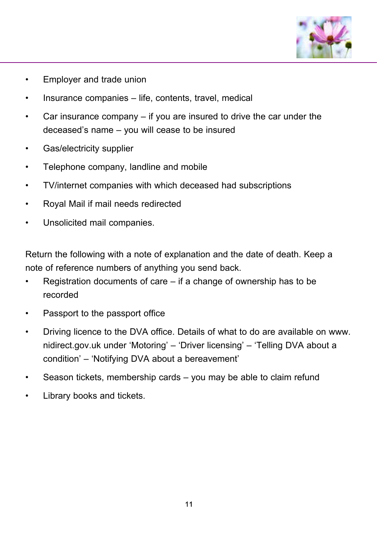

- Employer and trade union
- Insurance companies life, contents, travel, medical
- Car insurance company  $-$  if you are insured to drive the car under the deceased's name – you will cease to be insured
- Gas/electricity supplier
- Telephone company, landline and mobile
- TV/internet companies with which deceased had subscriptions
- Royal Mail if mail needs redirected
- Unsolicited mail companies.

Return the following with a note of explanation and the date of death. Keep a note of reference numbers of anything you send back.

- Registration documents of care  $-$  if a change of ownership has to be recorded
- Passport to the passport office
- Driving licence to the DVA office. Details of what to do are available on www. nidirect.gov.uk under 'Motoring' – 'Driver licensing' – 'Telling DVA about a condition' – 'Notifying DVA about a bereavement'
- Season tickets, membership cards you may be able to claim refund
- Library books and tickets.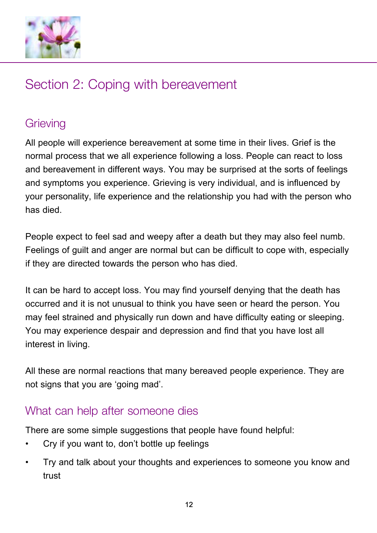

# Section 2: Coping with bereavement

## **Grieving**

All people will experience bereavement at some time in their lives. Grief is the normal process that we all experience following a loss. People can react to loss and bereavement in different ways. You may be surprised at the sorts of feelings and symptoms you experience. Grieving is very individual, and is influenced by your personality, life experience and the relationship you had with the person who has died.

People expect to feel sad and weepy after a death but they may also feel numb. Feelings of guilt and anger are normal but can be difficult to cope with, especially if they are directed towards the person who has died.

It can be hard to accept loss. You may find yourself denying that the death has occurred and it is not unusual to think you have seen or heard the person. You may feel strained and physically run down and have difficulty eating or sleeping. You may experience despair and depression and find that you have lost all interest in living.

All these are normal reactions that many bereaved people experience. They are not signs that you are 'going mad'.

#### What can help after someone dies

There are some simple suggestions that people have found helpful:

- Cry if you want to, don't bottle up feelings
- Try and talk about your thoughts and experiences to someone you know and trust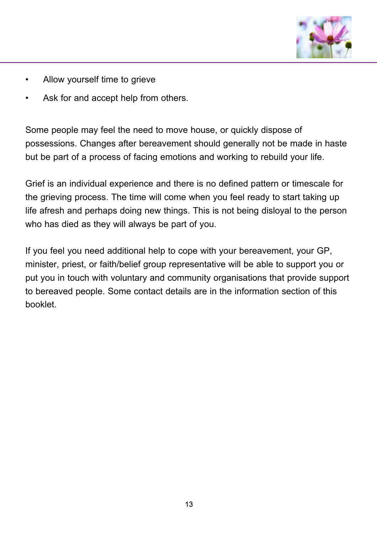

- Allow yourself time to grieve
- Ask for and accept help from others.

Some people may feel the need to move house, or quickly dispose of possessions. Changes after bereavement should generally not be made in haste but be part of a process of facing emotions and working to rebuild your life.

Grief is an individual experience and there is no defined pattern or timescale for the grieving process. The time will come when you feel ready to start taking up life afresh and perhaps doing new things. This is not being disloyal to the person who has died as they will always be part of you.

If you feel you need additional help to cope with your bereavement, your GP, minister, priest, or faith/belief group representative will be able to support you or put you in touch with voluntary and community organisations that provide support to bereaved people. Some contact details are in the information section of this booklet.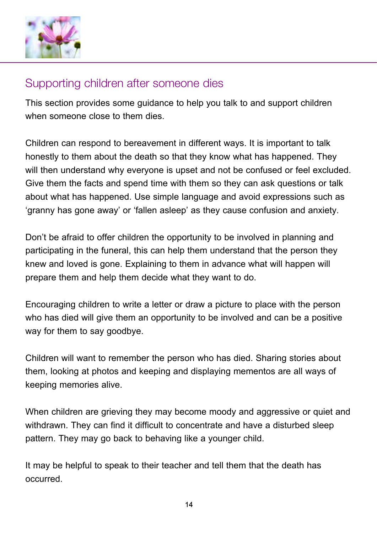

#### Supporting children after someone dies

This section provides some guidance to help you talk to and support children when someone close to them dies.

Children can respond to bereavement in different ways. It is important to talk honestly to them about the death so that they know what has happened. They will then understand why everyone is upset and not be confused or feel excluded. Give them the facts and spend time with them so they can ask questions or talk about what has happened. Use simple language and avoid expressions such as 'granny has gone away' or 'fallen asleep' as they cause confusion and anxiety.

Don't be afraid to offer children the opportunity to be involved in planning and participating in the funeral, this can help them understand that the person they knew and loved is gone. Explaining to them in advance what will happen will prepare them and help them decide what they want to do.

Encouraging children to write a letter or draw a picture to place with the person who has died will give them an opportunity to be involved and can be a positive way for them to say goodbye.

Children will want to remember the person who has died. Sharing stories about them, looking at photos and keeping and displaying mementos are all ways of keeping memories alive.

When children are grieving they may become moody and aggressive or quiet and withdrawn. They can find it difficult to concentrate and have a disturbed sleep pattern. They may go back to behaving like a younger child.

It may be helpful to speak to their teacher and tell them that the death has occurred.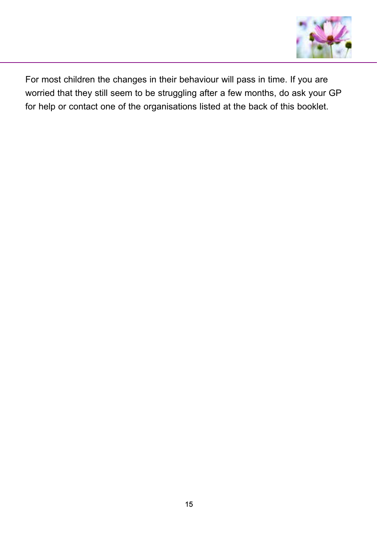

For most children the changes in their behaviour will pass in time. If you are worried that they still seem to be struggling after a few months, do ask your GP for help or contact one of the organisations listed at the back of this booklet.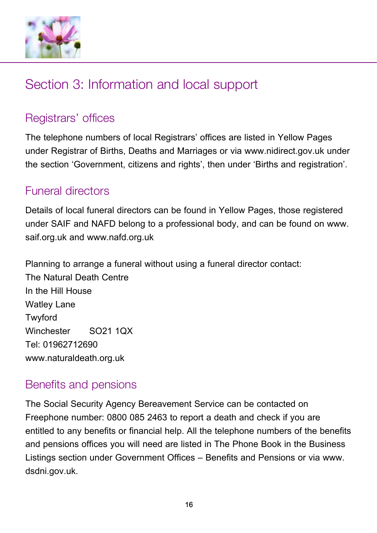

# Section 3: Information and local support

### Registrars' offices

The telephone numbers of local Registrars' offices are listed in Yellow Pages under Registrar of Births, Deaths and Marriages or via www.nidirect.gov.uk under the section 'Government, citizens and rights', then under 'Births and registration'.

#### Funeral directors

Details of local funeral directors can be found in Yellow Pages, those registered under SAIF and NAFD belong to a professional body, and can be found on www. saif.org.uk and www.nafd.org.uk

Planning to arrange a funeral without using a funeral director contact: The Natural Death Centre In the Hill House Watley Lane Twyford Winchester SO21 1QX Tel: 01962712690 www.naturaldeath.org.uk

#### Benefits and pensions

The Social Security Agency Bereavement Service can be contacted on Freephone number: 0800 085 2463 to report a death and check if you are entitled to any benefits or financial help. All the telephone numbers of the benefits and pensions offices you will need are listed in The Phone Book in the Business Listings section under Government Offices – Benefits and Pensions or via www. dsdni.gov.uk.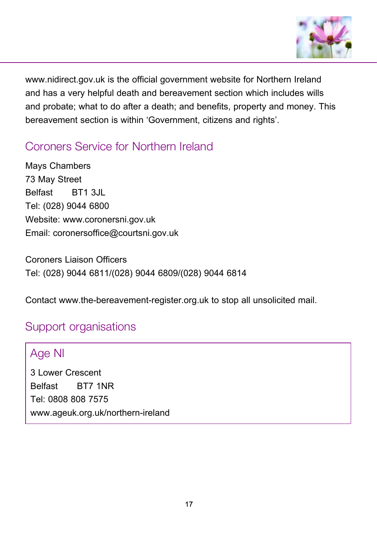

www.nidirect.gov.uk is the official government website for Northern Ireland and has a very helpful death and bereavement section which includes wills and probate; what to do after a death; and benefits, property and money. This bereavement section is within 'Government, citizens and rights'.

### Coroners Service for Northern Ireland

Mays Chambers 73 May Street Belfast BT1 3JL Tel: (028) 9044 6800 Website: www.coronersni.gov.uk Email: coronersoffice@courtsni.gov.uk

Coroners Liaison Officers Tel: (028) 9044 6811/(028) 9044 6809/(028) 9044 6814

Contact www.the-bereavement-register.org.uk to stop all unsolicited mail.

#### Support organisations

#### Age NI

3 Lower Crescent Belfast BT7 1NR Tel: 0808 808 7575 www.ageuk.org.uk/northern-ireland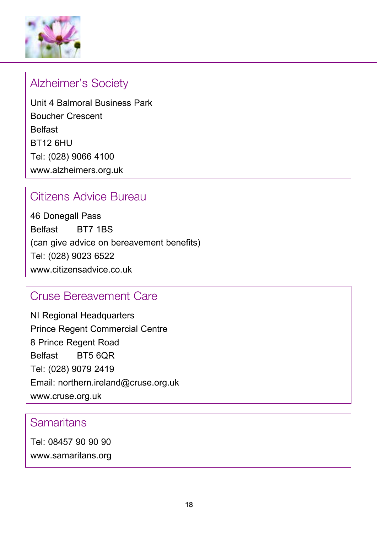

#### Alzheimer's Society

Unit 4 Balmoral Business Park Boucher Crescent Belfast BT12 6HU Tel: (028) 9066 4100 www.alzheimers.org.uk

### Citizens Advice Bureau

46 Donegall Pass Belfast BT7 1BS (can give advice on bereavement benefits) Tel: (028) 9023 6522 www.citizensadvice.co.uk

#### Cruse Bereavement Care

NI Regional Headquarters Prince Regent Commercial Centre 8 Prince Regent Road Belfast BT5 6QR Tel: (028) 9079 2419 Email: northern.ireland@cruse.org.uk www.cruse.org.uk

#### Samaritans

Tel: 08457 90 90 90 www.samaritans.org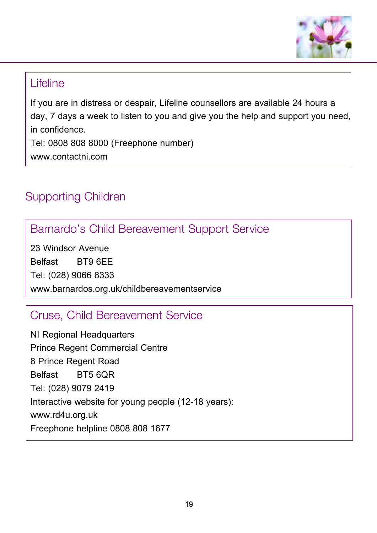

#### Lifeline

If you are in distress or despair, Lifeline counsellors are available 24 hours a day, 7 days a week to listen to you and give you the help and support you need, in confidence.

Tel: 0808 808 8000 (Freephone number) www.contactni.com

## Supporting Children

## Barnardo's Child Bereavement Support Service

23 Windsor Avenue Belfast BT9 6EE Tel: (028) 9066 8333 www.barnardos.org.uk/childbereavementservice

### Cruse, Child Bereavement Service

NI Regional Headquarters Prince Regent Commercial Centre 8 Prince Regent Road Belfast BT5 6QR Tel: (028) 9079 2419 Interactive website for young people (12-18 years): www.rd4u.org.uk Freephone helpline 0808 808 1677